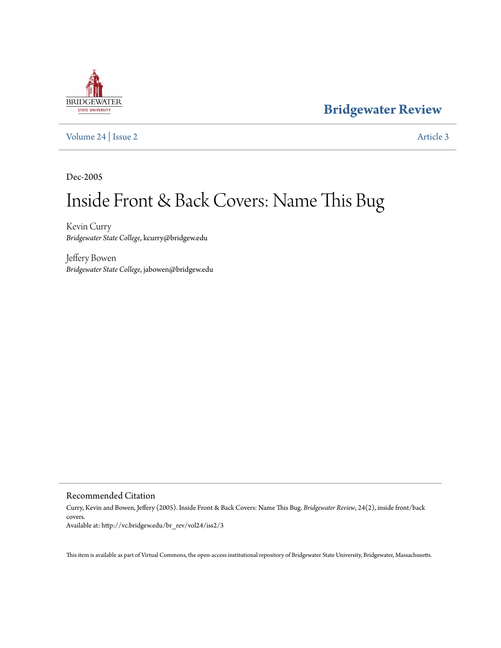# **BRIDGEWATER** STATE UNIVERSITY

**[Bridgewater Review](http://vc.bridgew.edu/br_rev)**

[Volume 24](http://vc.bridgew.edu/br_rev/vol24) | [Issue 2](http://vc.bridgew.edu/br_rev/vol24/iss2) [Article 3](http://vc.bridgew.edu/br_rev/vol24/iss2/3)

Dec-2005

# Inside Front & Back Covers: Name This Bug

Kevin Curry *Bridgewater State College*, kcurry@bridgew.edu

Jeffery Bowen *Bridgewater State College*, jabowen@bridgew.edu

### Recommended Citation

Curry, Kevin and Bowen, Jeffery (2005). Inside Front & Back Covers: Name This Bug. *Bridgewater Review*, 24(2), inside front/back covers. Available at: http://vc.bridgew.edu/br\_rev/vol24/iss2/3

This item is available as part of Virtual Commons, the open-access institutional repository of Bridgewater State University, Bridgewater, Massachusetts.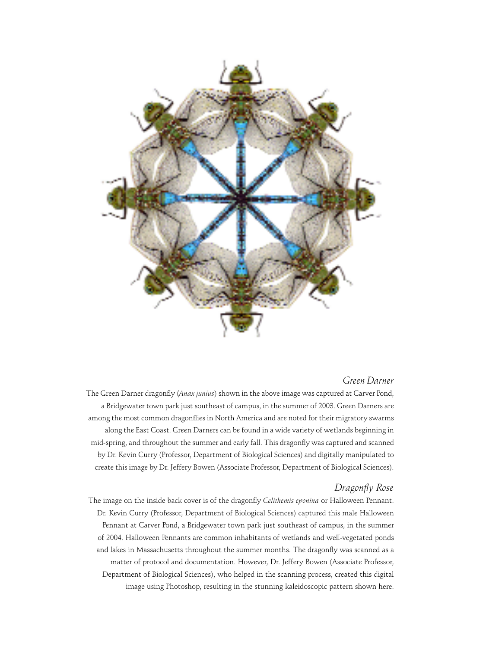

### *Green Darner*

The Green Darner dragonfly (*Anax junius*) shown in the above image was captured at Carver Pond, a Bridgewater town park just southeast of campus, in the summer of 2003. Green Darners are among the most common dragonflies in North America and are noted for their migratory swarms along the East Coast. Green Darners can be found in a wide variety of wetlands beginning in mid-spring, and throughout the summer and early fall. This dragonfly was captured and scanned by Dr. Kevin Curry (Professor, Department of Biological Sciences) and digitally manipulated to create this image by Dr. Jeffery Bowen (Associate Professor, Department of Biological Sciences).

### *Dragonfly Rose*

The image on the inside back cover is of the dragonfly *Celithemis eponina* or Halloween Pennant. Dr. Kevin Curry (Professor, Department of Biological Sciences) captured this male Halloween Pennant at Carver Pond, a Bridgewater town park just southeast of campus, in the summer of 2004. Halloween Pennants are common inhabitants of wetlands and well-vegetated ponds and lakes in Massachusetts throughout the summer months. The dragonfly was scanned as a matter of protocol and documentation. However, Dr. Jeffery Bowen (Associate Professor, Department of Biological Sciences), who helped in the scanning process, created this digital image using Photoshop, resulting in the stunning kaleidoscopic pattern shown here.